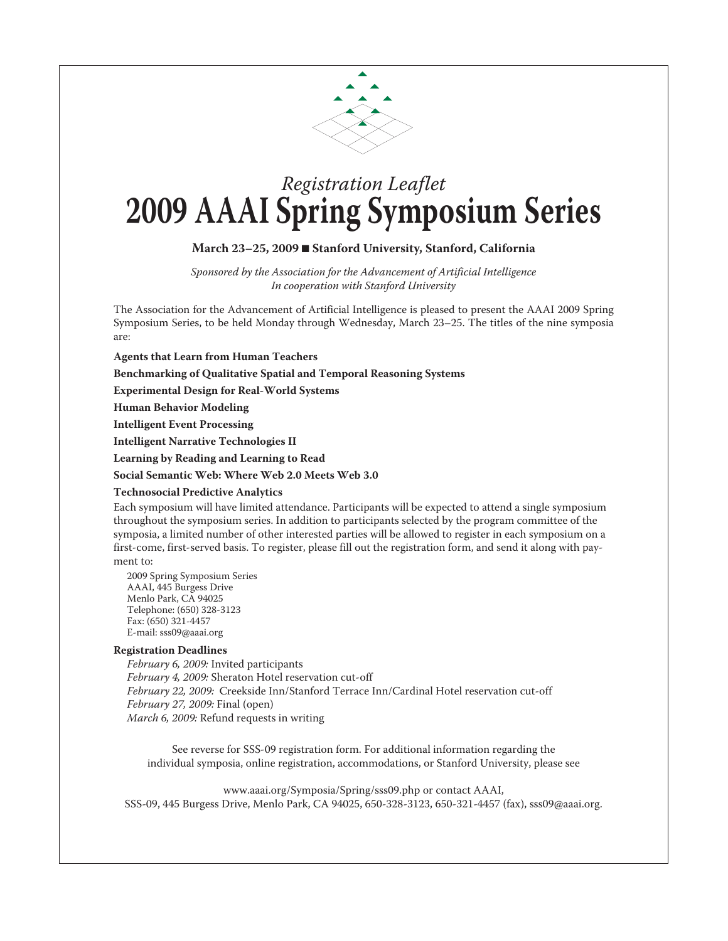

# *Registration Leaflet* **2009 AAAI Spring Symposium Series**

### **March 23–25, 2009** n **Stanford University, Stanford, California**

*Sponsored by the Association for the Advancement of Artificial Intelligence In cooperation with Stanford University*

The Association for the Advancement of Artificial Intelligence is pleased to present the AAAI 2009 Spring Symposium Series, to be held Monday through Wednesday, March 23–25. The titles of the nine symposia are:

**Agents that Learn from Human Teachers**

**Benchmarking of Qualitative Spatial and Temporal Reasoning Systems**

**Experimental Design for Real-World Systems** 

**Human Behavior Modeling**

**Intelligent Event Processing**

**Intelligent Narrative Technologies II**

**Learning by Reading and Learning to Read**

**Social Semantic Web: Where Web 2.0 Meets Web 3.0**

#### **Technosocial Predictive Analytics**

Each symposium will have limited attendance. Participants will be expected to attend a single symposium throughout the symposium series. In addition to participants selected by the program committee of the symposia, a limited number of other interested parties will be allowed to register in each symposium on a first-come, first-served basis. To register, please fill out the registration form, and send it along with payment to:

2009 Spring Symposium Series AAAI, 445 Burgess Drive Menlo Park, CA 94025 Telephone: (650) 328-3123 Fax: (650) 321-4457 E-mail: sss09@aaai.org

#### **Registration Deadlines**

*February 6, 2009:* Invited participants *February 4, 2009:* Sheraton Hotel reservation cut-off *February 22, 2009:* Creekside Inn/Stanford Terrace Inn/Cardinal Hotel reservation cut-off *February 27, 2009:* Final (open) *March 6, 2009:* Refund requests in writing

See reverse for SSS-09 registration form. For additional information regarding the individual symposia, online registration, accommodations, or Stanford University, please see

www.aaai.org/Symposia/Spring/sss09.php or contact AAAI, SSS-09, 445 Burgess Drive, Menlo Park, CA 94025, 650-328-3123, 650-321-4457 (fax), sss09@aaai.org.